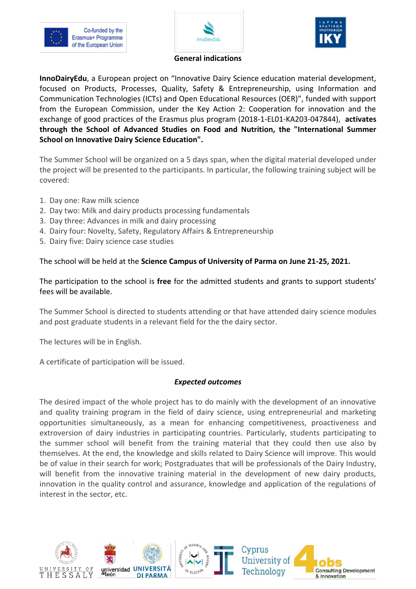





**General indications**

**InnoDairyEdu**, a European project on "Innovative Dairy Science education material development, focused on Products, Processes, Quality, Safety & Entrepreneurship, using Information and Communication Technologies (ICTs) and Open Educational Resources (OER)", funded with support from the European Commission, under the Key Action 2: Cooperation for innovation and the exchange of good practices of the Erasmus plus program (2018-1-EL01-KA203-047844), **activates through the School of Advanced Studies on Food and Nutrition, the "International Summer School on Innovative Dairy Science Education".** 

The Summer School will be organized on a 5 days span, when the digital material developed under the project will be presented to the participants. In particular, the following training subject will be covered:

- 1. Day one: Raw milk science
- 2. Day two: Milk and dairy products processing fundamentals
- 3. Day three: Advances in milk and dairy processing
- 4. Dairy four: Novelty, Safety, Regulatory Affairs & Entrepreneurship
- 5. Dairy five: Dairy science case studies

The school will be held at the **Science Campus of University of Parma on June 21-25, 2021.**

The participation to the school is **free** for the admitted students and grants to support students' fees will be available.

The Summer School is directed to students attending or that have attended dairy science modules and post graduate students in a relevant field for the the dairy sector.

The lectures will be in English.

A certificate of participation will be issued.

## *Expected outcomes*

The desired impact of the whole project has to do mainly with the development of an innovative and quality training program in the field of dairy science, using entrepreneurial and marketing opportunities simultaneously, as a mean for enhancing competitiveness, proactiveness and extroversion of dairy industries in participating countries. Particularly, students participating to the summer school will benefit from the training material that they could then use also by themselves. At the end, the knowledge and skills related to Dairy Science will improve. This would be of value in their search for work; Postgraduates that will be professionals of the Dairy Industry, will benefit from the innovative training material in the development of new dairy products, innovation in the quality control and assurance, knowledge and application of the regulations of interest in the sector, etc.